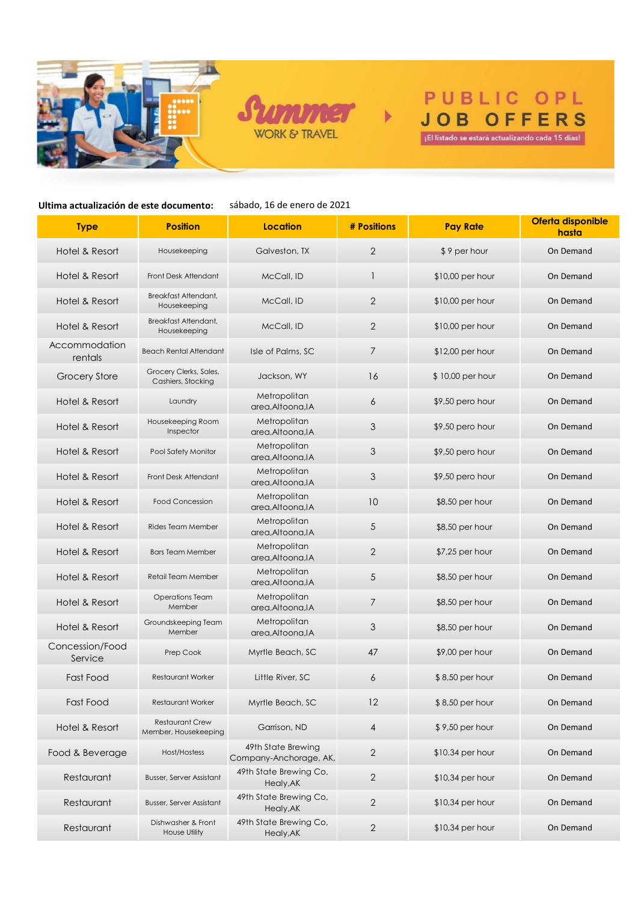



 $\mathbf{r}$ 

# PUBLIC OPL **JOB OFFERS** iEl listado se estará actualizando cada 15 días!

**Ultima actualización de este documento:**

sábado, 16 de enero de 2021

| <b>Type</b>                | <b>Position</b>                                | Location                                     | # Positions    | <b>Pay Rate</b>   | Oferta disponible<br>hasta |
|----------------------------|------------------------------------------------|----------------------------------------------|----------------|-------------------|----------------------------|
| Hotel & Resort             | Housekeeping                                   | Galveston, TX                                | 2              | \$9 per hour      | On Demand                  |
| Hotel & Resort             | Front Desk Attendant                           | McCall, ID                                   | 1              | $$10,00$ per hour | On Demand                  |
| Hotel & Resort             | Breakfast Attendant,<br>Housekeeping           | McCall, ID                                   | $\overline{2}$ | $$10,00$ per hour | On Demand                  |
| Hotel & Resort             | Breakfast Attendant,<br>Housekeeping           | McCall, ID                                   | 2              | $$10,00$ per hour | On Demand                  |
| Accommodation<br>rentals   | <b>Beach Rental Attendant</b>                  | Isle of Palms, SC                            | 7              | $$12,00$ per hour | On Demand                  |
| <b>Grocery Store</b>       | Grocery Clerks, Sales,<br>Cashiers, Stocking   | Jackson, WY                                  | 16             | \$10,00 per hour  | On Demand                  |
| Hotel & Resort             | Laundry                                        | Metropolitan<br>area, Altoona, IA            | 6              | \$9,50 pero hour  | On Demand                  |
| Hotel & Resort             | Housekeeping Room<br>Inspector                 | Metropolitan<br>area.Altoona.IA              | $\mathfrak{Z}$ | \$9,50 pero hour  | On Demand                  |
| Hotel & Resort             | Pool Safety Monitor                            | Metropolitan<br>area, Altoona, IA            | $\mathfrak{Z}$ | \$9,50 pero hour  | On Demand                  |
| Hotel & Resort             | Front Desk Attendant                           | Metropolitan<br>area, Altoona, IA            | $\mathfrak{Z}$ | \$9,50 pero hour  | On Demand                  |
| Hotel & Resort             | <b>Food Concession</b>                         | Metropolitan<br>area.Altoona.IA              | 10             | $$8,50$ per hour  | On Demand                  |
| Hotel & Resort             | Rides Team Member                              | Metropolitan<br>area, Altoona, IA            | $\sqrt{5}$     | $$8,50$ per hour  | On Demand                  |
| Hotel & Resort             | <b>Bars Team Member</b>                        | Metropolitan<br>area, Altoona, IA            | $\sqrt{2}$     | $$7,25$ per hour  | On Demand                  |
| Hotel & Resort             | Retail Team Member                             | Metropolitan<br>area, Altoona, IA            | $\sqrt{5}$     | $$8,50$ per hour  | On Demand                  |
| Hotel & Resort             | <b>Operations Team</b><br>Member               | Metropolitan<br>area, Altoona, IA            | 7              | $$8,50$ per hour  | On Demand                  |
| Hotel & Resort             | Groundskeeping Team<br>Member                  | Metropolitan<br>area, Altoona, IA            | 3              | $$8,50$ per hour  | On Demand                  |
| Concession/Food<br>Service | Prep Cook                                      | Myrtle Beach, SC                             | 47             | $$9,00$ per hour  | On Demand                  |
| Fast Food                  | <b>Restaurant Worker</b>                       | Little River, SC                             | 6              | $$8,50$ per hour  | On Demand                  |
| Fast Food                  | <b>Restaurant Worker</b>                       | Myrtle Beach, SC                             | 12             | \$8,50 per hour   | On Demand                  |
| Hotel & Resort             | <b>Restaurant Crew</b><br>Member, Housekeeping | Garrison, ND                                 | $\overline{4}$ | \$9,50 per hour   | On Demand                  |
| Food & Beverage            | Host/Hostess                                   | 49th State Brewing<br>Company-Anchorage, AK, | $\sqrt{2}$     | $$10.34$ per hour | On Demand                  |
| Restaurant                 | <b>Busser, Server Assistant</b>                | 49th State Brewing Co,<br>Healy, AK          | $\sqrt{2}$     | $$10,34$ per hour | On Demand                  |
| Restaurant                 | <b>Busser, Server Assistant</b>                | 49th State Brewing Co,<br>Healy, AK          | $\sqrt{2}$     | \$10,34 per hour  | On Demand                  |
| Restaurant                 | Dishwasher & Front<br>House Utility            | 49th State Brewing Co,<br>Healy, AK          | $\sqrt{2}$     | \$10,34 per hour  | On Demand                  |
|                            |                                                |                                              |                |                   |                            |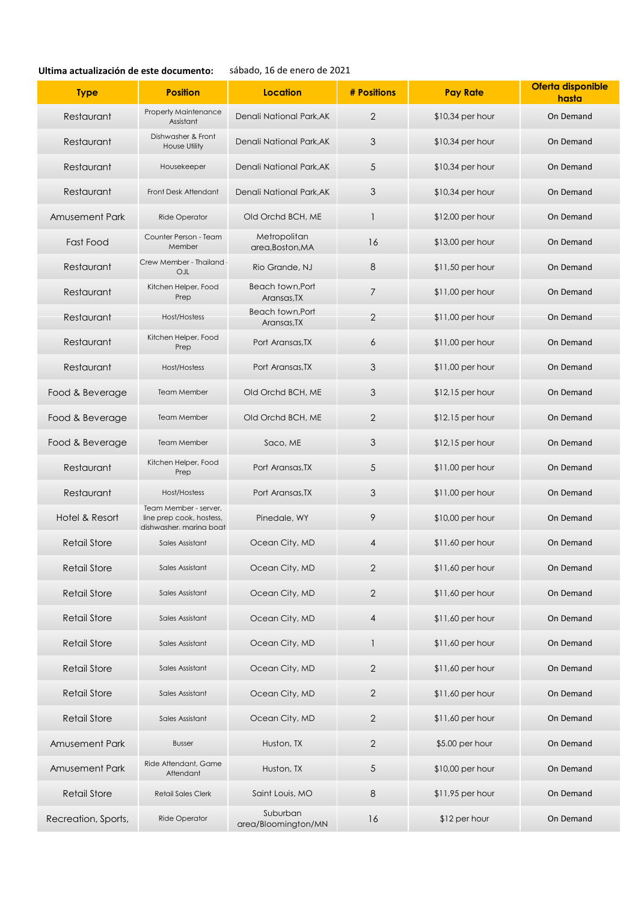## **Ultima actualización de este documento:**

# sábado, 16 de enero de 2021

| <b>Type</b>           | <b>Position</b>                                                              | <b>Location</b>                        | # Positions  | <b>Pay Rate</b>   | Oferta disponible<br>hasta |
|-----------------------|------------------------------------------------------------------------------|----------------------------------------|--------------|-------------------|----------------------------|
| Restaurant            | <b>Property Maintenance</b><br>Assistant                                     | Denali National Park, AK               | $\sqrt{2}$   | $$10,34$ per hour | On Demand                  |
| Restaurant            | Dishwasher & Front<br>House Utility                                          | Denali National Park.AK                | 3            | $$10,34$ per hour | On Demand                  |
| Restaurant            | Housekeeper                                                                  | Denali National Park, AK               | 5            | $$10,34$ per hour | On Demand                  |
| Restaurant            | Front Desk Attendant                                                         | Denali National Park, AK               | 3            | \$10,34 per hour  | On Demand                  |
| <b>Amusement Park</b> | Ride Operator                                                                | Old Orchd BCH, ME                      | $\mathbf{1}$ | \$12,00 per hour  | On Demand                  |
| Fast Food             | Counter Person - Team<br>Member                                              | Metropolitan<br>area, Boston, MA       | 16           | $$13,00$ per hour | On Demand                  |
| Restaurant            | Crew Member - Thailand<br>OJL                                                | Rio Grande, NJ                         | 8            | $$11,50$ per hour | On Demand                  |
| Restaurant            | Kitchen Helper, Food<br>Prep                                                 | <b>Beach town, Port</b><br>Aransas, TX | 7            | $$11,00$ per hour | On Demand                  |
| Restaurant            | Host/Hostess                                                                 | <b>Beach town, Port</b><br>Aransas, TX | $\mathbf{2}$ | $$11,00$ per hour | On Demand                  |
| Restaurant            | Kitchen Helper, Food<br>Prep                                                 | Port Aransas, TX                       | 6            | $$11,00$ per hour | On Demand                  |
| Restaurant            | Host/Hostess                                                                 | Port Aransas, TX                       | 3            | $$11,00$ per hour | On Demand                  |
| Food & Beverage       | <b>Team Member</b>                                                           | Old Orchd BCH, ME                      | 3            | $$12,15$ per hour | On Demand                  |
| Food & Beverage       | Team Member                                                                  | Old Orchd BCH, ME                      | $\mathbf{2}$ | $$12.15$ per hour | On Demand                  |
| Food & Beverage       | <b>Team Member</b>                                                           | Saco, ME                               | 3            | $$12,15$ per hour | On Demand                  |
| Restaurant            | Kitchen Helper, Food<br>Prep                                                 | Port Aransas, TX                       | $\sqrt{5}$   | $$11,00$ per hour | On Demand                  |
| Restaurant            | Host/Hostess                                                                 | Port Aransas, TX                       | 3            | $$11,00$ per hour | On Demand                  |
| Hotel & Resort        | Team Member - server,<br>line prep cook, hostess,<br>dishwasher, marina boat | Pinedale, WY                           | 9            | \$10,00 per hour  | On Demand                  |
| <b>Retail Store</b>   | Sales Assistant                                                              | Ocean City, MD                         | 4            | $$11,60$ per hour | On Demand                  |
| <b>Retail Store</b>   | Sales Assistant                                                              | Ocean City, MD                         | 2            | $$11,60$ per hour | On Demand                  |
| <b>Retail Store</b>   | Sales Assistant                                                              | Ocean City, MD                         | $\mathbf{2}$ | \$11,60 per hour  | On Demand                  |
| <b>Retail Store</b>   | Sales Assistant                                                              | Ocean City, MD                         | 4            | \$11,60 per hour  | On Demand                  |
| <b>Retail Store</b>   | Sales Assistant                                                              | Ocean City, MD                         | 1            | \$11,60 per hour  | On Demand                  |
| <b>Retail Store</b>   | Sales Assistant                                                              | Ocean City, MD                         | $\mathbf{2}$ | \$11,60 per hour  | On Demand                  |
| <b>Retail Store</b>   | Sales Assistant                                                              | Ocean City, MD                         | $\sqrt{2}$   | $$11,60$ per hour | On Demand                  |
| <b>Retail Store</b>   | Sales Assistant                                                              | Ocean City, MD                         | $\sqrt{2}$   | \$11,60 per hour  | On Demand                  |
| <b>Amusement Park</b> | <b>Busser</b>                                                                | Huston, TX                             | $\sqrt{2}$   | \$5.00 per hour   | On Demand                  |
| Amusement Park        | Ride Attendant, Game<br>Attendant                                            | Huston, TX                             | $\sqrt{5}$   | \$10,00 per hour  | On Demand                  |
| <b>Retail Store</b>   | <b>Retail Sales Clerk</b>                                                    | Saint Louis, MO                        | $\,8\,$      | $$11,95$ per hour | On Demand                  |
| Recreation, Sports,   | Ride Operator                                                                | Suburban<br>area/Bloomington/MN        | 16           | \$12 per hour     | On Demand                  |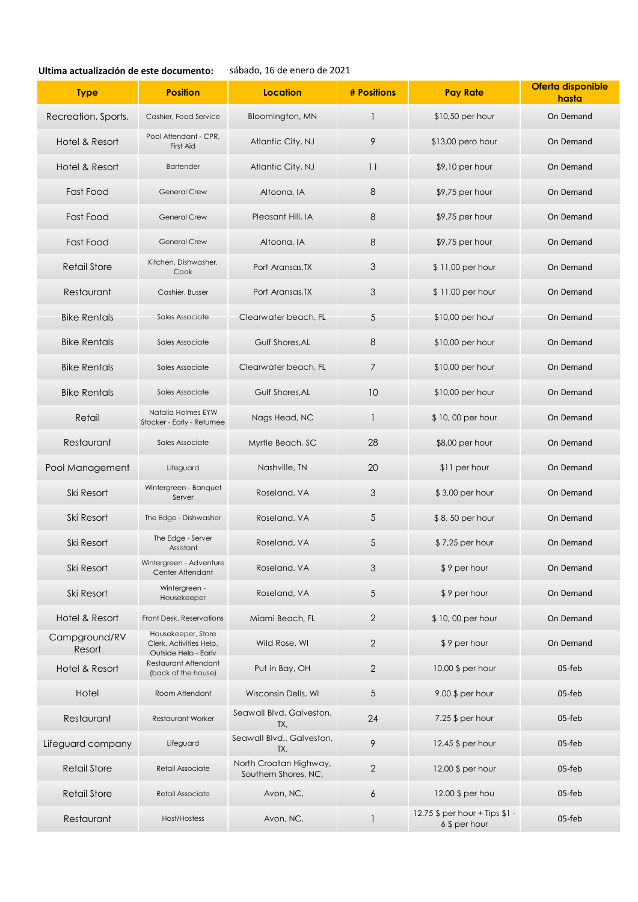### **Ultima actualización de este documento:** sábado, 16 de enero de 2021

| <b>Type</b>             | <b>Position</b>                                                              | Location                                       | # Positions      | <b>Pay Rate</b>                                 | Oferta disponible<br>hasta |
|-------------------------|------------------------------------------------------------------------------|------------------------------------------------|------------------|-------------------------------------------------|----------------------------|
| Recreation, Sports,     | Cashier, Food Service                                                        | Bloomington, MN                                | $\mathbf{1}$     | $$10,50$ per hour                               | On Demand                  |
| Hotel & Resort          | Pool Attendant - CPR,<br>First Aid                                           | Atlantic City, NJ                              | 9                | $$13,00$ pero hour                              | On Demand                  |
| Hotel & Resort          | <b>Bartender</b>                                                             | Atlantic City, NJ                              | 11               | $$9,10$ per hour                                | On Demand                  |
| <b>Fast Food</b>        | <b>General Crew</b>                                                          | Altoona, IA                                    | 8                | $$9,75$ per hour                                | On Demand                  |
| Fast Food               | <b>General Crew</b>                                                          | Pleasant Hill, IA                              | 8                | $$9,75$ per hour                                | On Demand                  |
| Fast Food               | <b>General Crew</b>                                                          | Altoona, IA                                    | $\,8\,$          | $$9,75$ per hour                                | On Demand                  |
| <b>Retail Store</b>     | Kitchen, Dishwasher,<br>Cook                                                 | Port Aransas, TX                               | $\mathfrak{Z}$   | \$11,00 per hour                                | On Demand                  |
| Restaurant              | Cashier, Busser                                                              | Port Aransas, TX                               | 3                | $$11,00$ per hour                               | On Demand                  |
| <b>Bike Rentals</b>     | Sales Associate                                                              | Clearwater beach, FL                           | $\sqrt{5}$       | \$10,00 per hour                                | On Demand                  |
| <b>Bike Rentals</b>     | Sales Associate                                                              | Gulf Shores, AL                                | 8                | $$10,00$ per hour                               | On Demand                  |
| <b>Bike Rentals</b>     | Sales Associate                                                              | Clearwater beach, FL                           | 7                | $$10,00$ per hour                               | On Demand                  |
| <b>Bike Rentals</b>     | Sales Associate                                                              | Gulf Shores, AL                                | 10               | $$10,00$ per hour                               | On Demand                  |
| Retail                  | Natalia Holmes EYW<br>Stocker - Early - Returnee                             | Nags Head, NC                                  | $\mathbf{1}$     | \$10,00 per hour                                | On Demand                  |
| Restaurant              | Sales Associate                                                              | Myrtle Beach, SC                               | 28               | $$8,00$ per hour                                | On Demand                  |
| Pool Management         | Lifeguard                                                                    | Nashville, TN                                  | 20               | \$11 per hour                                   | On Demand                  |
| Ski Resort              | Wintergreen - Banquet<br>Server                                              | Roseland, VA                                   | $\mathfrak{Z}$   | \$3,00 per hour                                 | On Demand                  |
| Ski Resort              | The Edge - Dishwasher                                                        | Roseland, VA                                   | $\sqrt{5}$       | $$8,50$ per hour                                | On Demand                  |
| Ski Resort              | The Edge - Server<br>Assistant                                               | Roseland, VA                                   | $\sqrt{5}$       | \$7,25 per hour                                 | On Demand                  |
| Ski Resort              | Wintergreen - Adventure<br>Center Attendant                                  | Roseland, VA                                   | 3                | \$9 per hour                                    | On Demand                  |
| Ski Resort              | Wintergreen -<br>Housekeeper                                                 | Roseland, VA                                   | 5                | \$9 per hour                                    | On Demand                  |
| Hotel & Resort          | Front Desk, Reservations                                                     | Miami Beach, FL                                | $\overline{2}$   | \$10,00 per hour                                | On Demand                  |
| Campground/RV<br>Resort | Housekeeper, Store<br>Clerk, Activities Help,<br><b>Outside Help - Early</b> | Wild Rose, WI                                  | $\overline{2}$   | \$9 per hour                                    | On Demand                  |
| Hotel & Resort          | Restaurant Attendant<br>(back of the house)                                  | Put in Bay, OH                                 | $\mathbf{2}$     | 10.00 \$ per hour                               | 05-feb                     |
| Hotel                   | Room Attendant                                                               | Wisconsin Dells, WI                            | $\sqrt{5}$       | 9.00 \$ per hour                                | 05-feb                     |
| Restaurant              | Restaurant Worker                                                            | Seawall Blvd, Galveston,<br>TX,                | 24               | 7.25 $$$ per hour                               | 05-feb                     |
| Lifeguard company       | Lifeguard                                                                    | Seawall Blvd., Galveston,<br>TX,               | 9                | 12,45 \$ per hour                               | 05-feb                     |
| <b>Retail Store</b>     | Retail Associate                                                             | North Croatan Highway,<br>Southern Shores, NC, | $\sqrt{2}$       | 12.00 \$ per hour                               | 05-feb                     |
| <b>Retail Store</b>     | Retail Associate                                                             | Avon, NC,                                      | $\boldsymbol{6}$ | 12.00 \$ per hou                                | 05-feb                     |
| Restaurant              | Host/Hostess                                                                 | Avon, NC,                                      | $\mathbf{1}$     | 12.75 \$ per hour + Tips \$1 -<br>6 \$ per hour | 05-feb                     |